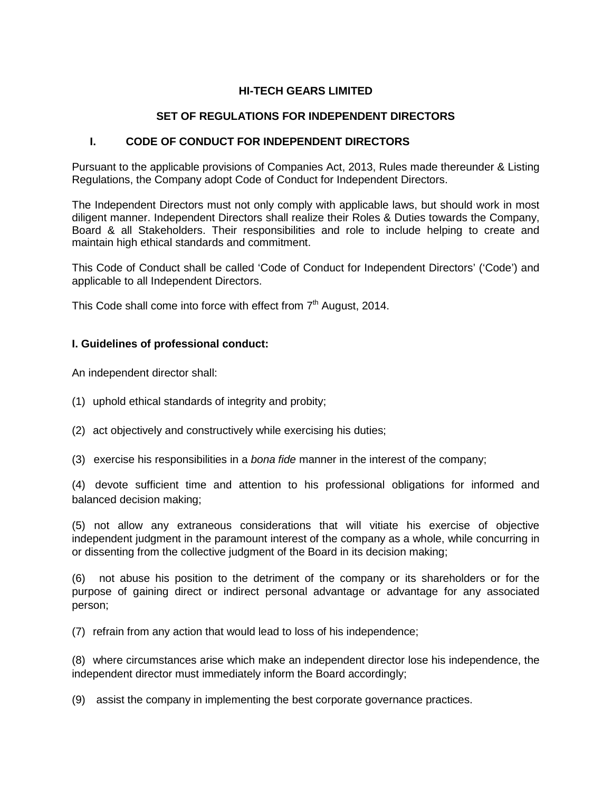# **HI-TECH GEARS LIMITED**

# **SET OF REGULATIONS FOR INDEPENDENT DIRECTORS**

### **I. CODE OF CONDUCT FOR INDEPENDENT DIRECTORS**

Pursuant to the applicable provisions of Companies Act, 2013, Rules made thereunder & Listing Regulations, the Company adopt Code of Conduct for Independent Directors.

The Independent Directors must not only comply with applicable laws, but should work in most diligent manner. Independent Directors shall realize their Roles & Duties towards the Company, Board & all Stakeholders. Their responsibilities and role to include helping to create and maintain high ethical standards and commitment.

This Code of Conduct shall be called 'Code of Conduct for Independent Directors' ('Code') and applicable to all Independent Directors.

This Code shall come into force with effect from  $7<sup>th</sup>$  August, 2014.

### **I. Guidelines of professional conduct:**

An independent director shall:

- (1) uphold ethical standards of integrity and probity;
- (2) act objectively and constructively while exercising his duties;
- (3) exercise his responsibilities in a *bona fide* manner in the interest of the company;

(4) devote sufficient time and attention to his professional obligations for informed and balanced decision making;

(5) not allow any extraneous considerations that will vitiate his exercise of objective independent judgment in the paramount interest of the company as a whole, while concurring in or dissenting from the collective judgment of the Board in its decision making;

(6) not abuse his position to the detriment of the company or its shareholders or for the purpose of gaining direct or indirect personal advantage or advantage for any associated person;

(7) refrain from any action that would lead to loss of his independence;

(8) where circumstances arise which make an independent director lose his independence, the independent director must immediately inform the Board accordingly;

(9) assist the company in implementing the best corporate governance practices.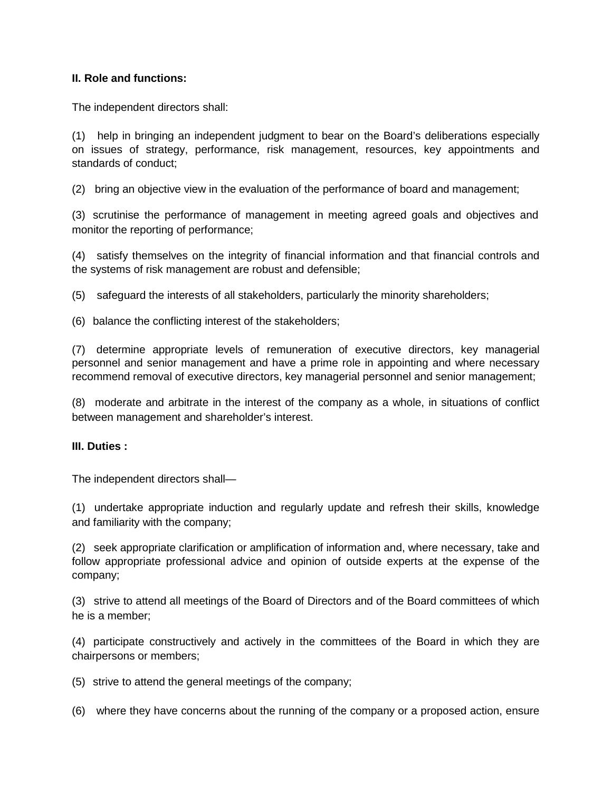## **II. Role and functions:**

The independent directors shall:

(1) help in bringing an independent judgment to bear on the Board's deliberations especially on issues of strategy, performance, risk management, resources, key appointments and standards of conduct;

(2) bring an objective view in the evaluation of the performance of board and management;

(3) scrutinise the performance of management in meeting agreed goals and objectives and monitor the reporting of performance;

(4) satisfy themselves on the integrity of financial information and that financial controls and the systems of risk management are robust and defensible;

(5) safeguard the interests of all stakeholders, particularly the minority shareholders;

(6) balance the conflicting interest of the stakeholders;

(7) determine appropriate levels of remuneration of executive directors, key managerial personnel and senior management and have a prime role in appointing and where necessary recommend removal of executive directors, key managerial personnel and senior management;

(8) moderate and arbitrate in the interest of the company as a whole, in situations of conflict between management and shareholder's interest.

#### **III. Duties :**

The independent directors shall—

(1) undertake appropriate induction and regularly update and refresh their skills, knowledge and familiarity with the company;

(2) seek appropriate clarification or amplification of information and, where necessary, take and follow appropriate professional advice and opinion of outside experts at the expense of the company;

(3) strive to attend all meetings of the Board of Directors and of the Board committees of which he is a member;

(4) participate constructively and actively in the committees of the Board in which they are chairpersons or members;

(5) strive to attend the general meetings of the company;

(6) where they have concerns about the running of the company or a proposed action, ensure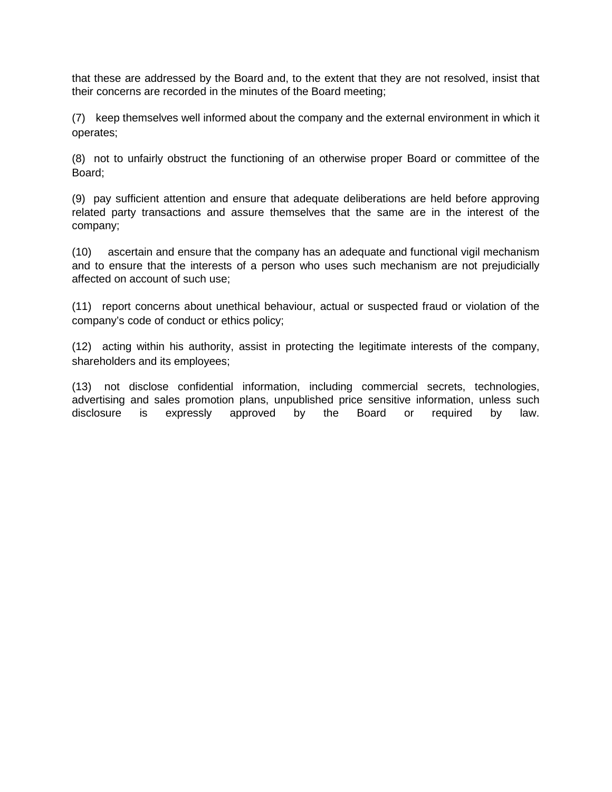that these are addressed by the Board and, to the extent that they are not resolved, insist that their concerns are recorded in the minutes of the Board meeting;

(7) keep themselves well informed about the company and the external environment in which it operates;

(8) not to unfairly obstruct the functioning of an otherwise proper Board or committee of the Board;

(9) pay sufficient attention and ensure that adequate deliberations are held before approving related party transactions and assure themselves that the same are in the interest of the company;

(10) ascertain and ensure that the company has an adequate and functional vigil mechanism and to ensure that the interests of a person who uses such mechanism are not prejudicially affected on account of such use;

(11) report concerns about unethical behaviour, actual or suspected fraud or violation of the company's code of conduct or ethics policy;

(12) acting within his authority, assist in protecting the legitimate interests of the company, shareholders and its employees;

(13) not disclose confidential information, including commercial secrets, technologies, advertising and sales promotion plans, unpublished price sensitive information, unless such<br>disclosure is expressly approved by the Board or required by law. is expressly approved by the Board or required by law.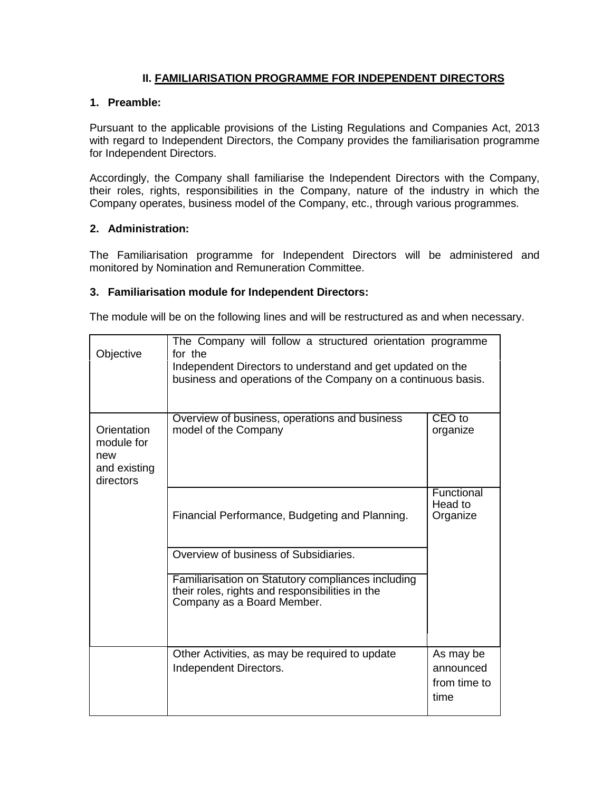# **II. FAMILIARISATION PROGRAMME FOR INDEPENDENT DIRECTORS**

### **1. Preamble:**

Pursuant to the applicable provisions of the Listing Regulations and Companies Act, 2013 with regard to Independent Directors, the Company provides the familiarisation programme for Independent Directors.

Accordingly, the Company shall familiarise the Independent Directors with the Company, their roles, rights, responsibilities in the Company, nature of the industry in which the Company operates, business model of the Company, etc., through various programmes.

## **2. Administration:**

The Familiarisation programme for Independent Directors will be administered and monitored by Nomination and Remuneration Committee.

### **3. Familiarisation module for Independent Directors:**

The module will be on the following lines and will be restructured as and when necessary.

| Objective                                                     | The Company will follow a structured orientation programme<br>for the<br>Independent Directors to understand and get updated on the<br>business and operations of the Company on a continuous basis. |                                                |
|---------------------------------------------------------------|------------------------------------------------------------------------------------------------------------------------------------------------------------------------------------------------------|------------------------------------------------|
| Orientation<br>module for<br>new<br>and existing<br>directors | Overview of business, operations and business<br>model of the Company                                                                                                                                | CEO to<br>organize                             |
|                                                               | Financial Performance, Budgeting and Planning.                                                                                                                                                       | Functional<br>Head to<br>Organize              |
|                                                               | Overview of business of Subsidiaries.                                                                                                                                                                |                                                |
|                                                               | Familiarisation on Statutory compliances including<br>their roles, rights and responsibilities in the<br>Company as a Board Member.                                                                  |                                                |
|                                                               | Other Activities, as may be required to update<br>Independent Directors.                                                                                                                             | As may be<br>announced<br>from time to<br>time |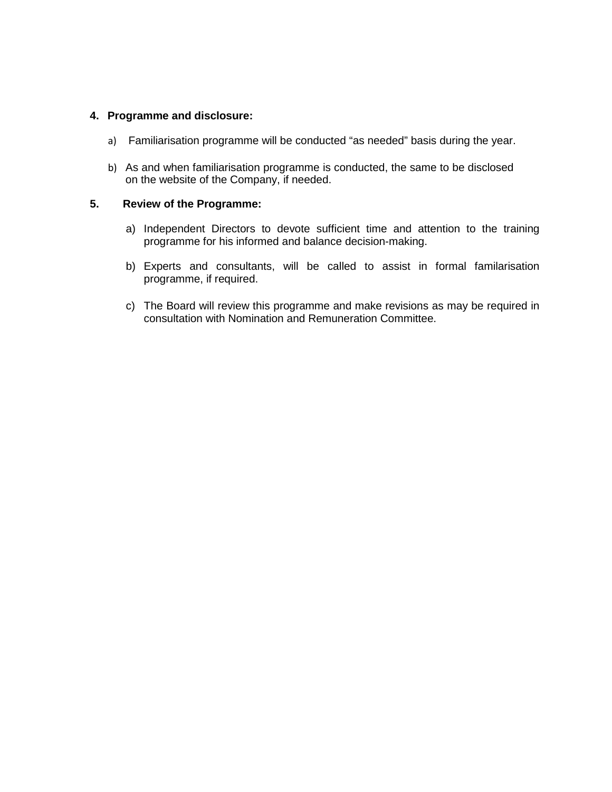### **4. Programme and disclosure:**

- a) Familiarisation programme will be conducted "as needed" basis during the year.
- b) As and when familiarisation programme is conducted, the same to be disclosed on the website of the Company, if needed.

### **5. Review of the Programme:**

- a) Independent Directors to devote sufficient time and attention to the training programme for his informed and balance decision-making.
- b) Experts and consultants, will be called to assist in formal familarisation programme, if required.
- c) The Board will review this programme and make revisions as may be required in consultation with Nomination and Remuneration Committee.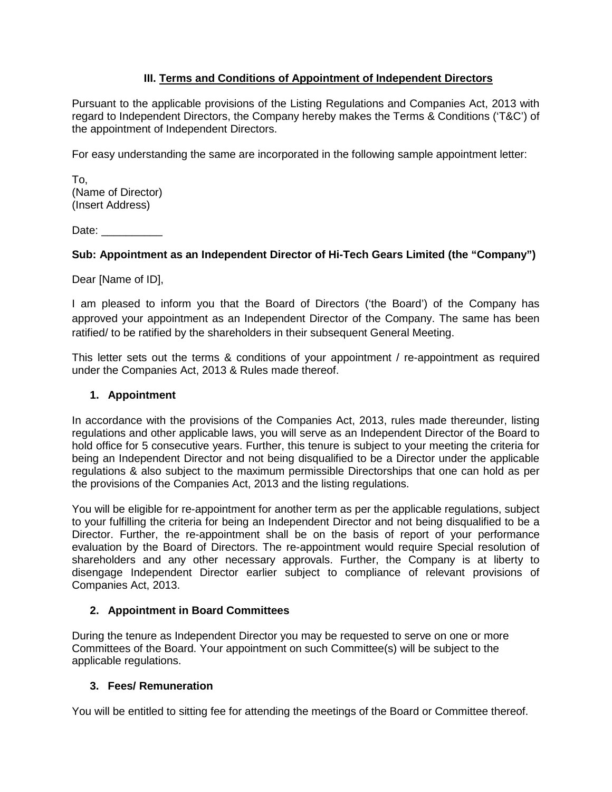# **III. Terms and Conditions of Appointment of Independent Directors**

Pursuant to the applicable provisions of the Listing Regulations and Companies Act, 2013 with regard to Independent Directors, the Company hereby makes the Terms & Conditions ('T&C') of the appointment of Independent Directors.

For easy understanding the same are incorporated in the following sample appointment letter:

To, (Name of Director) (Insert Address)

Date:

### **Sub: Appointment as an Independent Director of Hi-Tech Gears Limited (the "Company")**

Dear [Name of ID],

I am pleased to inform you that the Board of Directors ('the Board') of the Company has approved your appointment as an Independent Director of the Company. The same has been ratified/ to be ratified by the shareholders in their subsequent General Meeting.

This letter sets out the terms & conditions of your appointment / re-appointment as required under the Companies Act, 2013 & Rules made thereof.

#### **1. Appointment**

In accordance with the provisions of the Companies Act, 2013, rules made thereunder, listing regulations and other applicable laws, you will serve as an Independent Director of the Board to hold office for 5 consecutive years. Further, this tenure is subject to your meeting the criteria for being an Independent Director and not being disqualified to be a Director under the applicable regulations & also subject to the maximum permissible Directorships that one can hold as per the provisions of the Companies Act, 2013 and the listing regulations.

You will be eligible for re-appointment for another term as per the applicable regulations, subject to your fulfilling the criteria for being an Independent Director and not being disqualified to be a Director. Further, the re-appointment shall be on the basis of report of your performance evaluation by the Board of Directors. The re-appointment would require Special resolution of shareholders and any other necessary approvals. Further, the Company is at liberty to disengage Independent Director earlier subject to compliance of relevant provisions of Companies Act, 2013.

## **2. Appointment in Board Committees**

During the tenure as Independent Director you may be requested to serve on one or more Committees of the Board. Your appointment on such Committee(s) will be subject to the applicable regulations.

#### **3. Fees/ Remuneration**

You will be entitled to sitting fee for attending the meetings of the Board or Committee thereof.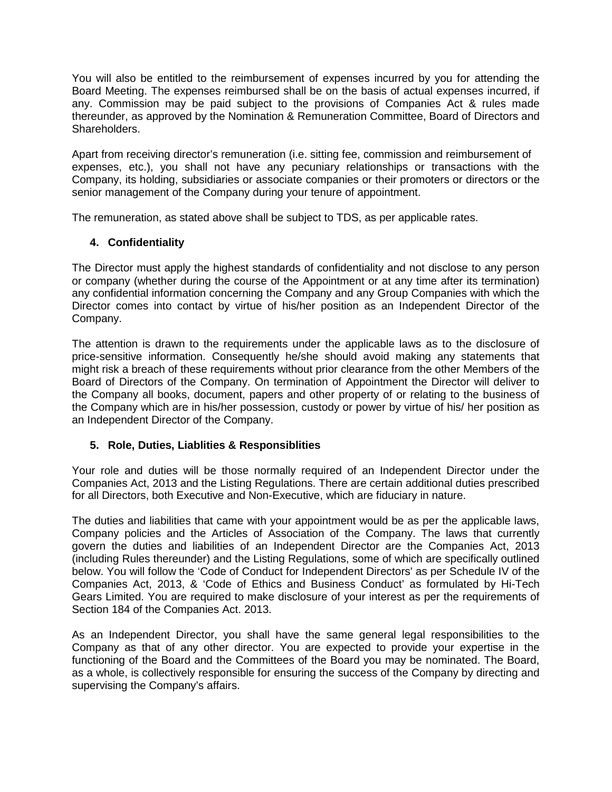You will also be entitled to the reimbursement of expenses incurred by you for attending the Board Meeting. The expenses reimbursed shall be on the basis of actual expenses incurred, if any. Commission may be paid subject to the provisions of Companies Act & rules made thereunder, as approved by the Nomination & Remuneration Committee, Board of Directors and Shareholders.

Apart from receiving director's remuneration (i.e. sitting fee, commission and reimbursement of expenses, etc.), you shall not have any pecuniary relationships or transactions with the Company, its holding, subsidiaries or associate companies or their promoters or directors or the senior management of the Company during your tenure of appointment.

The remuneration, as stated above shall be subject to TDS, as per applicable rates.

### **4. Confidentiality**

The Director must apply the highest standards of confidentiality and not disclose to any person or company (whether during the course of the Appointment or at any time after its termination) any confidential information concerning the Company and any Group Companies with which the Director comes into contact by virtue of his/her position as an Independent Director of the Company.

The attention is drawn to the requirements under the applicable laws as to the disclosure of price-sensitive information. Consequently he/she should avoid making any statements that might risk a breach of these requirements without prior clearance from the other Members of the Board of Directors of the Company. On termination of Appointment the Director will deliver to the Company all books, document, papers and other property of or relating to the business of the Company which are in his/her possession, custody or power by virtue of his/ her position as an Independent Director of the Company.

# **5. Role, Duties, Liablities & Responsiblities**

Your role and duties will be those normally required of an Independent Director under the Companies Act, 2013 and the Listing Regulations. There are certain additional duties prescribed for all Directors, both Executive and Non-Executive, which are fiduciary in nature.

The duties and liabilities that came with your appointment would be as per the applicable laws, Company policies and the Articles of Association of the Company. The laws that currently govern the duties and liabilities of an Independent Director are the Companies Act, 2013 (including Rules thereunder) and the Listing Regulations, some of which are specifically outlined below. You will follow the 'Code of Conduct for Independent Directors' as per Schedule IV of the Companies Act, 2013, & 'Code of Ethics and Business Conduct' as formulated by Hi-Tech Gears Limited. You are required to make disclosure of your interest as per the requirements of Section 184 of the Companies Act. 2013.

As an Independent Director, you shall have the same general legal responsibilities to the Company as that of any other director. You are expected to provide your expertise in the functioning of the Board and the Committees of the Board you may be nominated. The Board, as a whole, is collectively responsible for ensuring the success of the Company by directing and supervising the Company's affairs.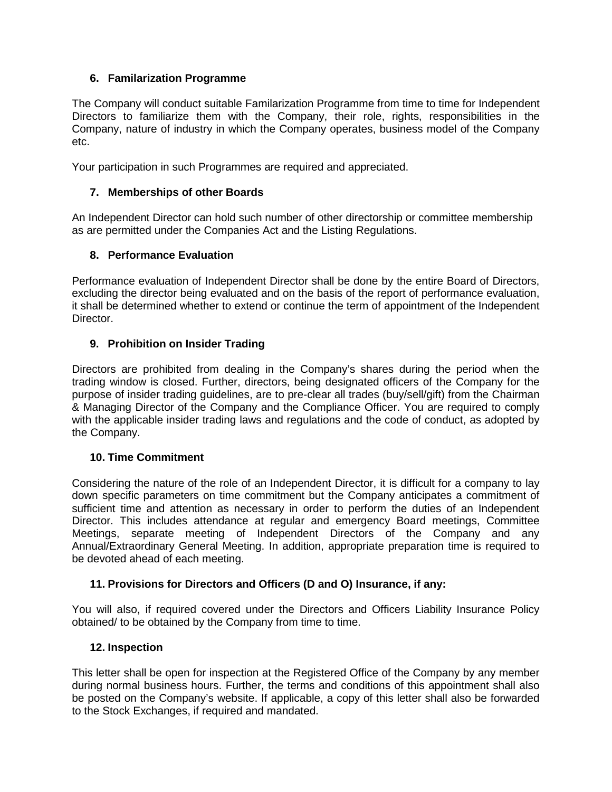# **6. Familarization Programme**

The Company will conduct suitable Familarization Programme from time to time for Independent Directors to familiarize them with the Company, their role, rights, responsibilities in the Company, nature of industry in which the Company operates, business model of the Company etc.

Your participation in such Programmes are required and appreciated.

# **7. Memberships of other Boards**

An Independent Director can hold such number of other directorship or committee membership as are permitted under the Companies Act and the Listing Regulations.

# **8. Performance Evaluation**

Performance evaluation of Independent Director shall be done by the entire Board of Directors, excluding the director being evaluated and on the basis of the report of performance evaluation, it shall be determined whether to extend or continue the term of appointment of the Independent Director.

# **9. Prohibition on Insider Trading**

Directors are prohibited from dealing in the Company's shares during the period when the trading window is closed. Further, directors, being designated officers of the Company for the purpose of insider trading guidelines, are to pre-clear all trades (buy/sell/gift) from the Chairman & Managing Director of the Company and the Compliance Officer. You are required to comply with the applicable insider trading laws and regulations and the code of conduct, as adopted by the Company.

## **10. Time Commitment**

Considering the nature of the role of an Independent Director, it is difficult for a company to lay down specific parameters on time commitment but the Company anticipates a commitment of sufficient time and attention as necessary in order to perform the duties of an Independent Director. This includes attendance at regular and emergency Board meetings, Committee Meetings, separate meeting of Independent Directors of the Company and any Annual/Extraordinary General Meeting. In addition, appropriate preparation time is required to be devoted ahead of each meeting.

## **11. Provisions for Directors and Officers (D and O) Insurance, if any:**

You will also, if required covered under the Directors and Officers Liability Insurance Policy obtained/ to be obtained by the Company from time to time.

## **12. Inspection**

This letter shall be open for inspection at the Registered Office of the Company by any member during normal business hours. Further, the terms and conditions of this appointment shall also be posted on the Company's website. If applicable, a copy of this letter shall also be forwarded to the Stock Exchanges, if required and mandated.